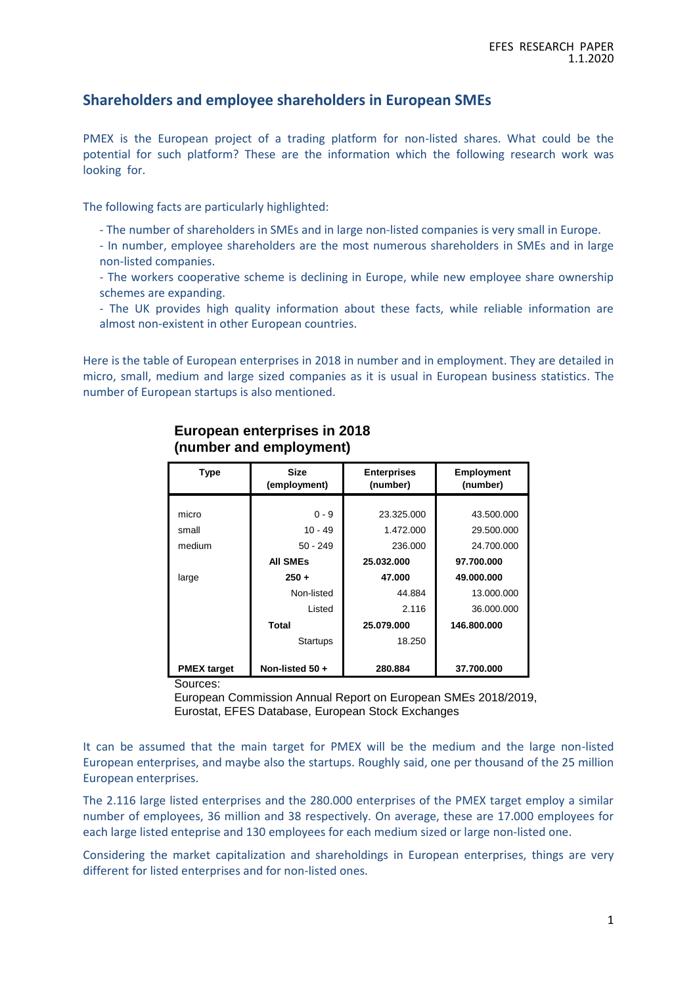#### **Shareholders and employee shareholders in European SMEs**

PMEX is the European project of a trading platform for non-listed shares. What could be the potential for such platform? These are the information which the following research work was looking for.

The following facts are particularly highlighted:

- The number of shareholders in SMEs and in large non-listed companies is very small in Europe.
- In number, employee shareholders are the most numerous shareholders in SMEs and in large non-listed companies.
- The workers cooperative scheme is declining in Europe, while new employee share ownership schemes are expanding.

- The UK provides high quality information about these facts, while reliable information are almost non-existent in other European countries.

Here is the table of European enterprises in 2018 in number and in employment. They are detailed in micro, small, medium and large sized companies as it is usual in European business statistics. The number of European startups is also mentioned.

| <b>Type</b>        | <b>Size</b><br>(employment) | <b>Enterprises</b><br>(number) | <b>Employment</b><br>(number) |  |  |  |
|--------------------|-----------------------------|--------------------------------|-------------------------------|--|--|--|
|                    |                             |                                |                               |  |  |  |
| micro              | $0 - 9$                     | 23.325.000                     | 43.500.000                    |  |  |  |
| small              | $10 - 49$                   | 1.472.000                      | 29.500.000                    |  |  |  |
| medium             | $50 - 249$                  | 236.000                        | 24.700.000                    |  |  |  |
|                    | <b>AII SMES</b>             | 25.032.000                     | 97.700.000                    |  |  |  |
| large              | $250 +$                     | 47.000                         | 49.000.000                    |  |  |  |
|                    | Non-listed                  | 44.884                         | 13.000.000                    |  |  |  |
|                    | Listed                      | 2.116                          | 36.000.000                    |  |  |  |
|                    | <b>Total</b>                | 25.079.000                     | 146.800.000                   |  |  |  |
|                    | <b>Startups</b>             | 18.250                         |                               |  |  |  |
| <b>PMEX</b> target | Non-listed 50+              | 280.884                        | 37.700.000                    |  |  |  |

#### **European enterprises in 2018 (number and employment)**

Sources:

European Commission Annual Report on European SMEs 2018/2019, Eurostat, EFES Database, European Stock Exchanges

It can be assumed that the main target for PMEX will be the medium and the large non-listed European enterprises, and maybe also the startups. Roughly said, one per thousand of the 25 million European enterprises.

The 2.116 large listed enterprises and the 280.000 enterprises of the PMEX target employ a similar number of employees, 36 million and 38 respectively. On average, these are 17.000 employees for each large listed enteprise and 130 employees for each medium sized or large non-listed one.

Considering the market capitalization and shareholdings in European enterprises, things are very different for listed enterprises and for non-listed ones.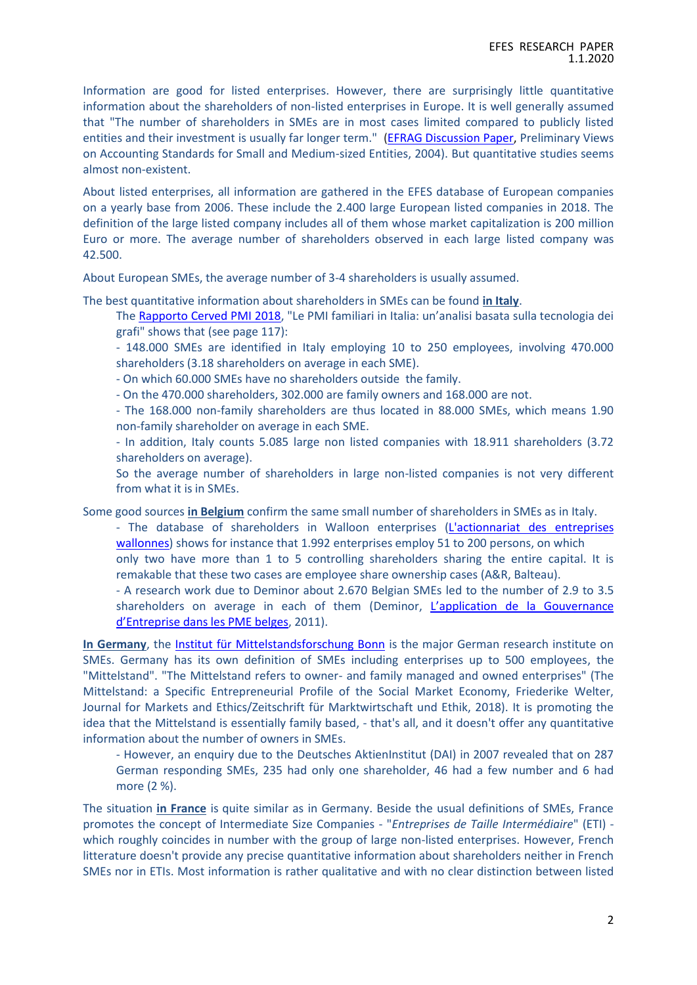Information are good for listed enterprises. However, there are surprisingly little quantitative information about the shareholders of non-listed enterprises in Europe. It is well generally assumed that "The number of shareholders in SMEs are in most cases limited compared to publicly listed entities and their investment is usually far longer term." [\(EFRAG Discussion Paper,](https://www.efrag.org/Assets/Download?assetUrl=%2Fsites%2Fwebpublishing%2FProject%20Documents%2F33%2FInitial%20Discussion%20paper.doc) Preliminary Views on Accounting Standards for Small and Medium-sized Entities, 2004). But quantitative studies seems almost non-existent.

About listed enterprises, all information are gathered in the EFES database of European companies on a yearly base from 2006. These include the 2.400 large European listed companies in 2018. The definition of the large listed company includes all of them whose market capitalization is 200 million Euro or more. The average number of shareholders observed in each large listed company was 42.500.

About European SMEs, the average number of 3-4 shareholders is usually assumed.

The best quantitative information about shareholders in SMEs can be found **in Italy**.

The [Rapporto Cerved PMI 2018](https://know.cerved.com/wp-content/uploads/2018/11/PMI-2018-intero.pdf), "Le PMI familiari in Italia: un'analisi basata sulla tecnologia dei grafi" shows that (see page 117):

- 148.000 SMEs are identified in Italy employing 10 to 250 employees, involving 470.000 shareholders (3.18 shareholders on average in each SME).

- On which 60.000 SMEs have no shareholders outside the family.

- On the 470.000 shareholders, 302.000 are family owners and 168.000 are not.

- The 168.000 non-family shareholders are thus located in 88.000 SMEs, which means 1.90 non-family shareholder on average in each SME.

- In addition, Italy counts 5.085 large non listed companies with 18.911 shareholders (3.72 shareholders on average).

So the average number of shareholders in large non-listed companies is not very different from what it is in SMEs.

Some good sources **in Belgium** confirm the same small number of shareholders in SMEs as in Italy.

- The database of shareholders in Walloon enterprises [\(L'actionnariat des entreprises](http://www.actionnariatwallon.be/la-base-de-donnees/qu-est-ce-que-c-est.htm?lng=fr)  [wallonnes\)](http://www.actionnariatwallon.be/la-base-de-donnees/qu-est-ce-que-c-est.htm?lng=fr) shows for instance that 1.992 enterprises employ 51 to 200 persons, on which only two have more than 1 to 5 controlling shareholders sharing the entire capital. It is remakable that these two cases are employee share ownership cases (A&R, Balteau).

- A research work due to Deminor about 2.670 Belgian SMEs led to the number of 2.9 to 3.5 shareholders on average in each of them (Deminor, [L'application de la Gouvernance](https://drs.deminor.com/fr/actualites/lapplication-de-la-gouvernance-dentreprise-dans-les-pme-belges)  [d'Entreprise dans les PME belges](https://drs.deminor.com/fr/actualites/lapplication-de-la-gouvernance-dentreprise-dans-les-pme-belges), 2011).

**In Germany**, the [Institut für Mittelstandsforschung Bonn](https://www.ifm-bonn.org/) is the major German research institute on SMEs. Germany has its own definition of SMEs including enterprises up to 500 employees, the "Mittelstand". "The Mittelstand refers to owner- and family managed and owned enterprises" (The Mittelstand: a Specific Entrepreneurial Profile of the Social Market Economy, Friederike Welter, Journal for Markets and Ethics/Zeitschrift für Marktwirtschaft und Ethik, 2018). It is promoting the idea that the Mittelstand is essentially family based, - that's all, and it doesn't offer any quantitative information about the number of owners in SMEs.

- However, an enquiry due to the Deutsches AktienInstitut (DAI) in 2007 revealed that on 287 German responding SMEs, 235 had only one shareholder, 46 had a few number and 6 had more (2 %).

The situation **in France** is quite similar as in Germany. Beside the usual definitions of SMEs, France promotes the concept of Intermediate Size Companies - "*Entreprises de Taille Intermédiaire*" (ETI) which roughly coincides in number with the group of large non-listed enterprises. However, French litterature doesn't provide any precise quantitative information about shareholders neither in French SMEs nor in ETIs. Most information is rather qualitative and with no clear distinction between listed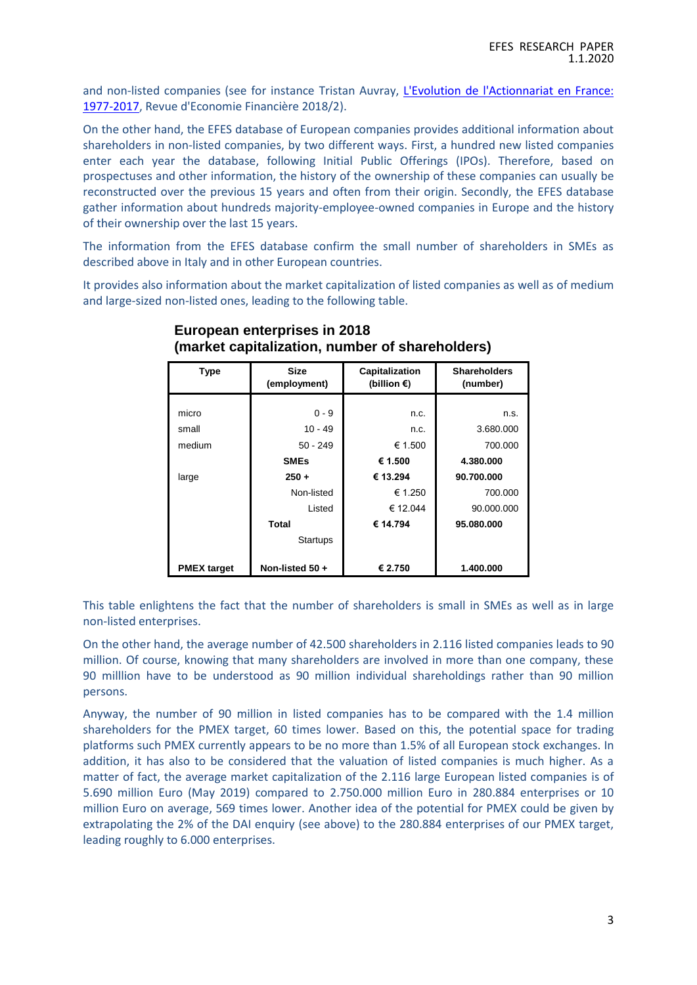and non-listed companies (see for instance Tristan Auvray, [L'Evolution de l'Actionnariat en France:](https://www.cairn.info/revue-d-economie-financiere-2018-2-page-73.htm)  [1977-2017,](https://www.cairn.info/revue-d-economie-financiere-2018-2-page-73.htm) Revue d'Economie Financière 2018/2).

On the other hand, the EFES database of European companies provides additional information about shareholders in non-listed companies, by two different ways. First, a hundred new listed companies enter each year the database, following Initial Public Offerings (IPOs). Therefore, based on prospectuses and other information, the history of the ownership of these companies can usually be reconstructed over the previous 15 years and often from their origin. Secondly, the EFES database gather information about hundreds majority-employee-owned companies in Europe and the history of their ownership over the last 15 years.

The information from the EFES database confirm the small number of shareholders in SMEs as described above in Italy and in other European countries.

It provides also information about the market capitalization of listed companies as well as of medium and large-sized non-listed ones, leading to the following table.

| <b>Type</b>        | <b>Size</b><br>(employment) | Capitalization<br>(billion €) | <b>Shareholders</b><br>(number) |  |  |  |
|--------------------|-----------------------------|-------------------------------|---------------------------------|--|--|--|
|                    |                             |                               |                                 |  |  |  |
| micro              | $0 - 9$                     | n.c.                          | n.s.                            |  |  |  |
| small              | $10 - 49$                   | n.c.                          | 3.680.000                       |  |  |  |
| medium             | $50 - 249$                  | € 1.500                       | 700.000                         |  |  |  |
|                    | <b>SMEs</b>                 | € 1.500                       | 4.380.000                       |  |  |  |
| large              | $250 +$                     | € 13.294                      | 90.700.000                      |  |  |  |
|                    | Non-listed                  | € 1.250                       | 700.000                         |  |  |  |
|                    | Listed                      | € 12.044                      | 90.000.000                      |  |  |  |
|                    | Total                       | € 14.794                      | 95.080.000                      |  |  |  |
|                    | Startups                    |                               |                                 |  |  |  |
|                    |                             |                               |                                 |  |  |  |
| <b>PMEX target</b> | Non-listed $50 +$           | € 2.750                       | 1.400.000                       |  |  |  |

#### **European enterprises in 2018 (market capitalization, number of shareholders)**

This table enlightens the fact that the number of shareholders is small in SMEs as well as in large non-listed enterprises.

On the other hand, the average number of 42.500 shareholders in 2.116 listed companies leads to 90 million. Of course, knowing that many shareholders are involved in more than one company, these 90 milllion have to be understood as 90 million individual shareholdings rather than 90 million persons.

Anyway, the number of 90 million in listed companies has to be compared with the 1.4 million shareholders for the PMEX target, 60 times lower. Based on this, the potential space for trading platforms such PMEX currently appears to be no more than 1.5% of all European stock exchanges. In addition, it has also to be considered that the valuation of listed companies is much higher. As a matter of fact, the average market capitalization of the 2.116 large European listed companies is of 5.690 million Euro (May 2019) compared to 2.750.000 million Euro in 280.884 enterprises or 10 million Euro on average, 569 times lower. Another idea of the potential for PMEX could be given by extrapolating the 2% of the DAI enquiry (see above) to the 280.884 enterprises of our PMEX target, leading roughly to 6.000 enterprises.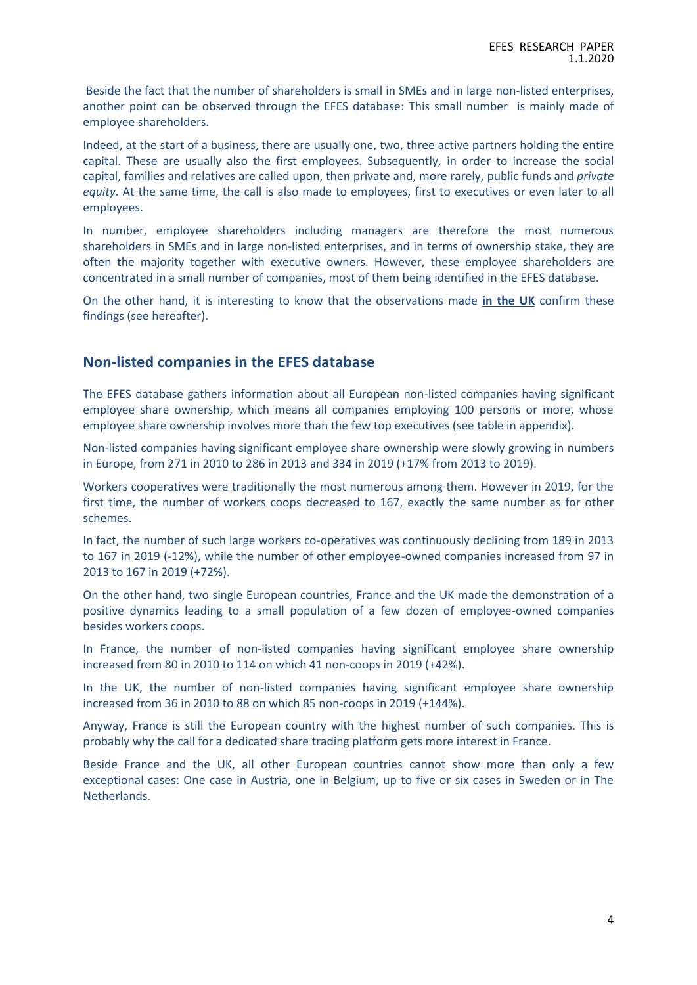Beside the fact that the number of shareholders is small in SMEs and in large non-listed enterprises, another point can be observed through the EFES database: This small number is mainly made of employee shareholders.

Indeed, at the start of a business, there are usually one, two, three active partners holding the entire capital. These are usually also the first employees. Subsequently, in order to increase the social capital, families and relatives are called upon, then private and, more rarely, public funds and *private equity*. At the same time, the call is also made to employees, first to executives or even later to all employees.

In number, employee shareholders including managers are therefore the most numerous shareholders in SMEs and in large non-listed enterprises, and in terms of ownership stake, they are often the majority together with executive owners. However, these employee shareholders are concentrated in a small number of companies, most of them being identified in the EFES database.

On the other hand, it is interesting to know that the observations made **in the UK** confirm these findings (see hereafter).

### **Non-listed companies in the EFES database**

The EFES database gathers information about all European non-listed companies having significant employee share ownership, which means all companies employing 100 persons or more, whose employee share ownership involves more than the few top executives (see table in appendix).

Non-listed companies having significant employee share ownership were slowly growing in numbers in Europe, from 271 in 2010 to 286 in 2013 and 334 in 2019 (+17% from 2013 to 2019).

Workers cooperatives were traditionally the most numerous among them. However in 2019, for the first time, the number of workers coops decreased to 167, exactly the same number as for other schemes.

In fact, the number of such large workers co-operatives was continuously declining from 189 in 2013 to 167 in 2019 (-12%), while the number of other employee-owned companies increased from 97 in 2013 to 167 in 2019 (+72%).

On the other hand, two single European countries, France and the UK made the demonstration of a positive dynamics leading to a small population of a few dozen of employee-owned companies besides workers coops.

In France, the number of non-listed companies having significant employee share ownership increased from 80 in 2010 to 114 on which 41 non-coops in 2019 (+42%).

In the UK, the number of non-listed companies having significant employee share ownership increased from 36 in 2010 to 88 on which 85 non-coops in 2019 (+144%).

Anyway, France is still the European country with the highest number of such companies. This is probably why the call for a dedicated share trading platform gets more interest in France.

Beside France and the UK, all other European countries cannot show more than only a few exceptional cases: One case in Austria, one in Belgium, up to five or six cases in Sweden or in The Netherlands.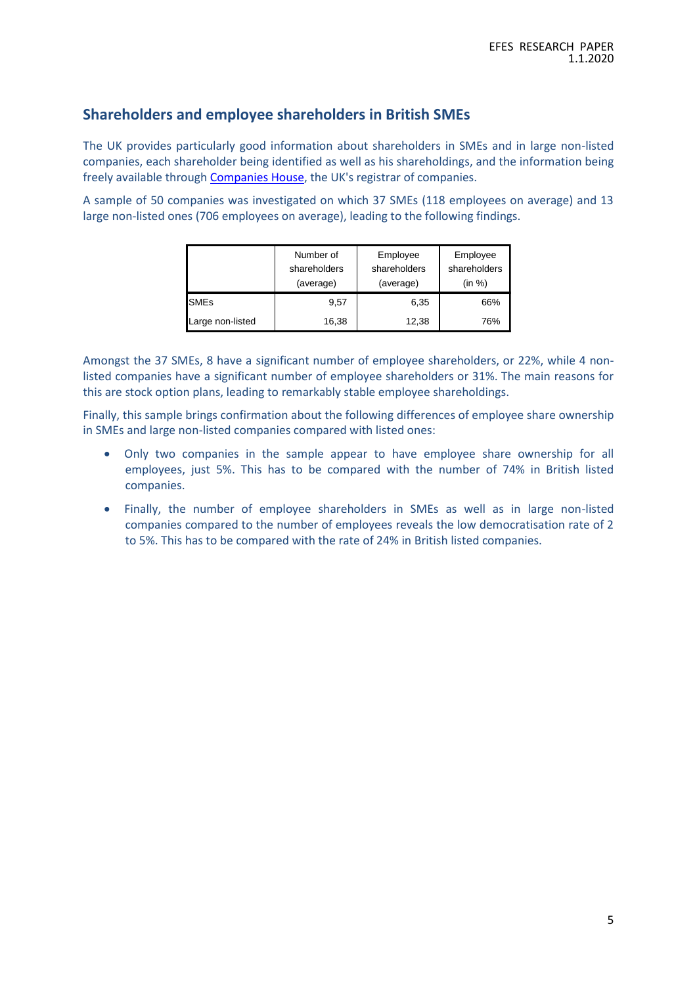## **Shareholders and employee shareholders in British SMEs**

The UK provides particularly good information about shareholders in SMEs and in large non-listed companies, each shareholder being identified as well as his shareholdings, and the information being freely available throug[h Companies House,](https://beta.companieshouse.gov.uk/) the UK's registrar of companies.

A sample of 50 companies was investigated on which 37 SMEs (118 employees on average) and 13 large non-listed ones (706 employees on average), leading to the following findings.

|                  | Number of<br>shareholders<br>(average) | Employee<br>shareholders<br>(average) | Employee<br>shareholders<br>(in %) |  |  |
|------------------|----------------------------------------|---------------------------------------|------------------------------------|--|--|
| <b>SMEs</b>      | 9.57                                   | 6,35                                  | 66%                                |  |  |
| Large non-listed | 16,38                                  | 12,38                                 | 76%                                |  |  |

Amongst the 37 SMEs, 8 have a significant number of employee shareholders, or 22%, while 4 nonlisted companies have a significant number of employee shareholders or 31%. The main reasons for this are stock option plans, leading to remarkably stable employee shareholdings.

Finally, this sample brings confirmation about the following differences of employee share ownership in SMEs and large non-listed companies compared with listed ones:

- Only two companies in the sample appear to have employee share ownership for all employees, just 5%. This has to be compared with the number of 74% in British listed companies.
- Finally, the number of employee shareholders in SMEs as well as in large non-listed companies compared to the number of employees reveals the low democratisation rate of 2 to 5%. This has to be compared with the rate of 24% in British listed companies.